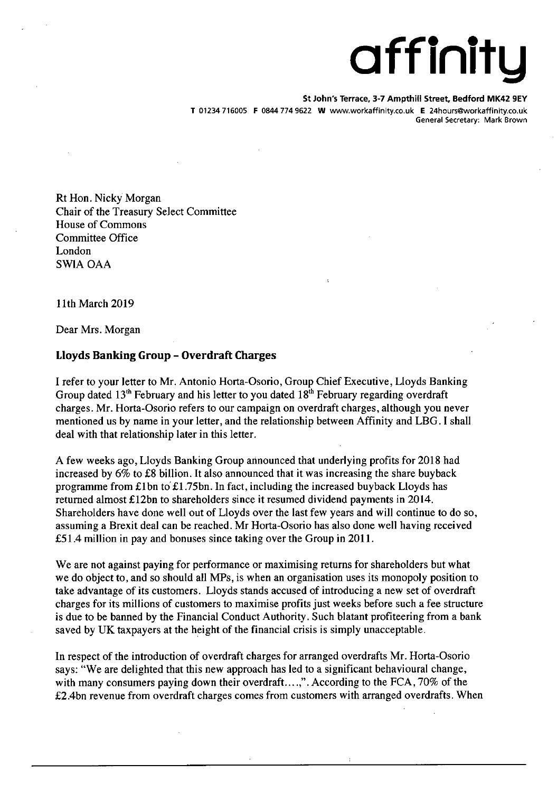## **a ff ini t y**

**St John's Terrace, 3-7 Ampthill Street Bedford MK42 9EV** 

T 01234 716005 F 0844 774 9622 W www.workaffiriity.co.ukE 24hours@workaffinity.co.uk General Secretary: Mark Brown

Rt Hon. Nicky Morgan Chair of the Treasury Select Committee House of Commons Committee Office London SWIA OAA

11th March 2019

Dear Mrs. Morgan

## Lloyds Banking Group - Overdraft Charges

I refer to your letter to Mr. Antonio Horta-Osorio, Group Chief Executive, Lloyds Banking Group dated  $13<sup>th</sup>$  February and his letter to you dated  $18<sup>th</sup>$  February regarding overdraft charges. Mr. Horta-Osorio refers to our campaign on overdraft charges, although you never mentioned us by name in your letter, and the relationship between Affinity and LBG. I shall deal with that relationship later in this letter.

A few weeks ago, Lloyds Banking Group announced that underlying profits for 2018 had increased by 6% to £8 billion. It also announced that it was increasing the share buyback programme from £1 bn to £1 *.75bn.* In fact, including the increased buyback Lloyds has returned almost £12bn to shareholders since it resumed dividend payments in 2014. Shareholders have done well out of Lloyds over the last few years and will continue to do so, assuming a Brexit deal can be reached. Mr Horta-Osorio has also done well having received *£51.4* million in pay and bonuses since taking over the Group in 2011.

We are not against paying for performance or maximising returns for shareholders but what we do object to, and so should all MPs, is when an organisation uses its monopoly position to take advantage of its customers. Lloyds stands accused of introducing a new set of overdraft charges for its millions of customers to maximise profits just weeks before such a fee structure is due to be banned by the Financial Conduct Authority. Such blatant profiteering from a bank saved by UK taxpayers at the height of the financial crisis is simply unacceptable.

In respect of the introduction of overdraft charges for arranged overdrafts Mr. Horta-Osorio says: "We are delighted that this new approach has led to a significant behavioural change, with many consumers paying down their overdraft....,". According to the FCA, 70% of the £2.4bn revenue from overdraft charges comes from customers with arranged overdrafts. When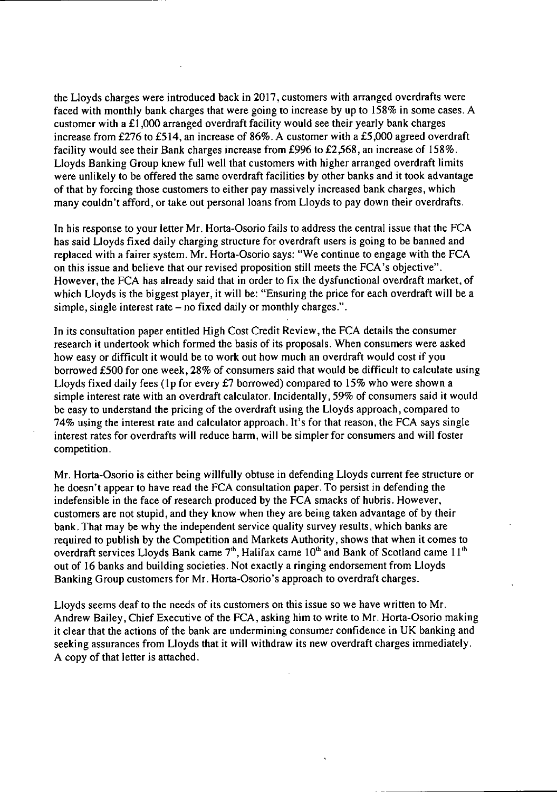the Lloyds charges were introduced back in 2017, customers with arranged overdrafts were faced with monthly bank charges that were going to increase by up to 158% in some cases. A customer with a £1,000 arranged overdraft facility would see their yearly bank charges increase from £276 to £514, an increase of 86%. A customer with a £5,000 agreed overdraft facility would see their Bank charges increase from £996 to £2,568, an increase of 158%. Lloyds Banking Group knew full well that customers with higher arranged overdraft limits were unlikely to be offered the same overdraft facilities by other banks and it took advantage of that by forcing those customers to either pay massively increased bank charges, which many couldn't afford, or take out personal loans from Lloyds to pay down their overdrafts.

In his response to your letter Mr. Horta-Osorio fails to address the central issue that the FCA has said Lloyds fixed daily charging structure for overdraft users is going to be banned and replaced with a fairer system. Mr. Horta-Osorio says: "We continue to engage with the FCA on this issue and believe that our revised proposition still meets the FCA's objective". However, the FCA has already said that in order to fix the dysfunctional overdraft market, of which Lloyds is the biggest player, it will be: "Ensuring the price for each overdraft will be a simple, single interest rate  $-$  no fixed daily or monthly charges.".

In its consultation paper entitled High Cost Credit Review, the FCA details the consumer research it undertook which formed the basis of its proposals. When consumers were asked how easy or difficult it would be to work out how much an overdraft would cost if you borrowed £500 for one week, 28% of consumers said that would be difficult to calculate using Lloyds fixed daily fees (1p for every £7 borrowed) compared to 15% who were shown a simple interest rate with an overdraft calculator. Incidentally, 59% of consumers said it would be easy to understand the pricing of the overdraft using the Lloyds approach, compared to 74% using the interest rate and calculator approach. It's for that reason, the FCA says single interest rates for overdrafts will reduce harm, will be simpler for consumers and will foster competition.

Mr. Horta-Osorio is either being willfully obtuse in defending Lloyds current fee structure or he doesn't appear to have read the FCA consultation paper. To persist in defending the indefensible in the face of research produced by the FCA smacks of hubris. However, customers are not stupid, and they know when they are being taken advantage of by their bank. That may be why the independent service quality survey results, which banks are required to publish by the Competition and Markets Authority, shows that when it comes to overdraft services Lloyds Bank came  $7<sup>th</sup>$ , Halifax came  $10<sup>th</sup>$  and Bank of Scotland came  $11<sup>th</sup>$ out of 16 banks and building societies. Not exactly a ringing endorsement from Lloyds Banking Group customers for Mr. Horta-Osorio's approach to overdraft charges.

Lloyds seems deaf to the needs of its customers on this issue so we have written to Mr. Andrew Bailey, Chief Executive of the FCA, asking him to write to Mr. Horta-Osorio making it clear that the actions of the bank are undermining consumer confidence in UK banking and seeking assurances from Lloyds that it will withdraw its new overdraft charges immediately. A copy of that letter is attached.